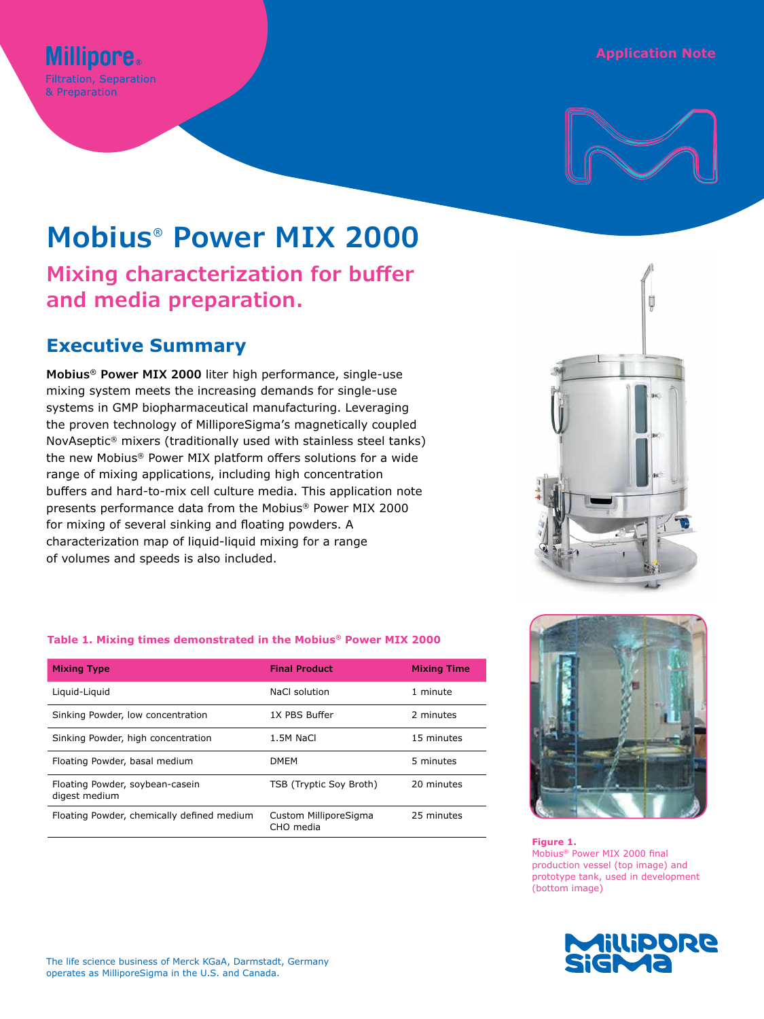# **Application Note**



# **Mobius® Power MIX 2000**

**Mixing characterization for buffer and media preparation.**

# **Executive Summary**

**Millipore. Filtration, Separation** & Preparation

**Mobius® Power MIX 2000** liter high performance, single-use mixing system meets the increasing demands for single-use systems in GMP biopharmaceutical manufacturing. Leveraging the proven technology of MilliporeSigma's magnetically coupled NovAseptic® mixers (traditionally used with stainless steel tanks) the new Mobius® Power MIX platform offers solutions for a wide range of mixing applications, including high concentration buffers and hard-to-mix cell culture media. This application note presents performance data from the Mobius® Power MIX 2000 for mixing of several sinking and floating powders. A characterization map of liquid-liquid mixing for a range of volumes and speeds is also included.



### **Table 1. Mixing times demonstrated in the Mobius® Power MIX 2000**

| <b>Mixing Type</b>                               | <b>Final Product</b>               | <b>Mixing Time</b> |
|--------------------------------------------------|------------------------------------|--------------------|
| Liquid-Liquid                                    | NaCl solution                      | 1 minute           |
| Sinking Powder, low concentration                | 1X PBS Buffer                      | 2 minutes          |
| Sinking Powder, high concentration               | 1.5M NaCl                          | 15 minutes         |
| Floating Powder, basal medium                    | <b>DMEM</b>                        | 5 minutes          |
| Floating Powder, soybean-casein<br>digest medium | TSB (Tryptic Soy Broth)            | 20 minutes         |
| Floating Powder, chemically defined medium       | Custom MilliporeSigma<br>CHO media | 25 minutes         |



#### **Figure 1.**

Mobius® Power MIX 2000 final production vessel (top image) and prototype tank, used in development (bottom image)

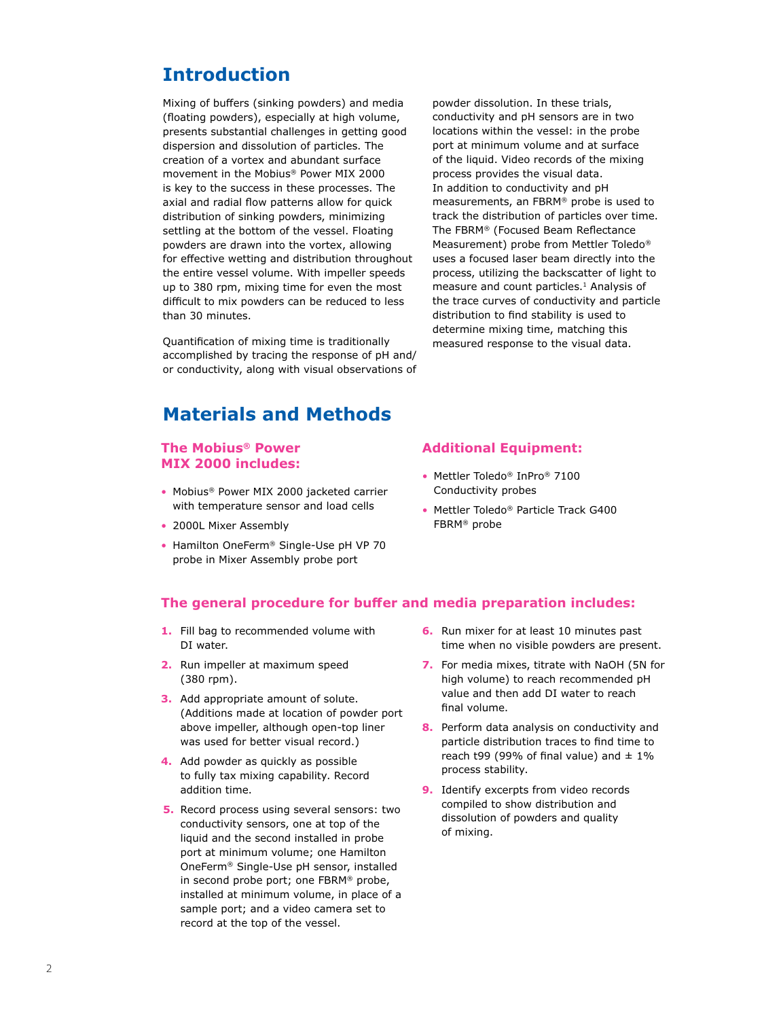# **Introduction**

Mixing of buffers (sinking powders) and media (floating powders), especially at high volume, presents substantial challenges in getting good dispersion and dissolution of particles. The creation of a vortex and abundant surface movement in the Mobius® Power MIX 2000 is key to the success in these processes. The axial and radial flow patterns allow for quick distribution of sinking powders, minimizing settling at the bottom of the vessel. Floating powders are drawn into the vortex, allowing for effective wetting and distribution throughout the entire vessel volume. With impeller speeds up to 380 rpm, mixing time for even the most difficult to mix powders can be reduced to less than 30 minutes.

Quantification of mixing time is traditionally accomplished by tracing the response of pH and/ or conductivity, along with visual observations of

# **Materials and Methods**

### **The Mobius® Power MIX 2000 includes:**

- Mobius® Power MIX 2000 jacketed carrier with temperature sensor and load cells
- 2000L Mixer Assembly
- Hamilton OneFerm® Single-Use pH VP 70 probe in Mixer Assembly probe port

powder dissolution. In these trials, conductivity and pH sensors are in two locations within the vessel: in the probe port at minimum volume and at surface of the liquid. Video records of the mixing process provides the visual data. In addition to conductivity and pH measurements, an FBRM® probe is used to track the distribution of particles over time. The FBRM® (Focused Beam Reflectance Measurement) probe from Mettler Toledo® uses a focused laser beam directly into the process, utilizing the backscatter of light to measure and count particles.<sup>1</sup> Analysis of the trace curves of conductivity and particle distribution to find stability is used to determine mixing time, matching this measured response to the visual data.

# **Additional Equipment:**

- Mettler Toledo® InPro® 7100 Conductivity probes
- Mettler Toledo® Particle Track G400 FBRM® probe

# **The general procedure for buffer and media preparation includes:**

- **1.** Fill bag to recommended volume with DI water.
- **2.** Run impeller at maximum speed (380 rpm).
- **3.** Add appropriate amount of solute. (Additions made at location of powder port above impeller, although open-top liner was used for better visual record.)
- **4.** Add powder as quickly as possible to fully tax mixing capability. Record addition time.
- **5.** Record process using several sensors: two conductivity sensors, one at top of the liquid and the second installed in probe port at minimum volume; one Hamilton OneFerm® Single-Use pH sensor, installed in second probe port; one FBRM® probe, installed at minimum volume, in place of a sample port; and a video camera set to record at the top of the vessel.
- **6.** Run mixer for at least 10 minutes past time when no visible powders are present.
- **7.** For media mixes, titrate with NaOH (5N for high volume) to reach recommended pH value and then add DI water to reach final volume.
- **8.** Perform data analysis on conductivity and particle distribution traces to find time to reach t99 (99% of final value) and  $\pm$  1% process stability.
- **9.** Identify excerpts from video records compiled to show distribution and dissolution of powders and quality of mixing.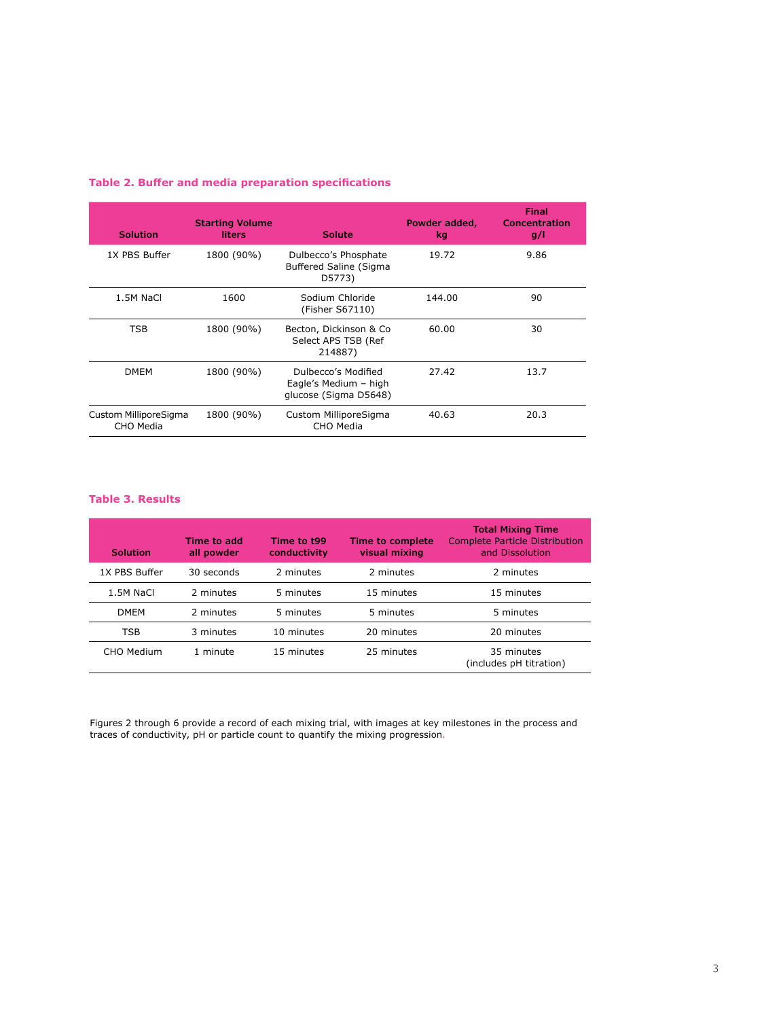| <b>Solution</b>                    | <b>Starting Volume</b><br>liters | <b>Solute</b>                                                         | Powder added,<br>kg. | Final<br>Concentration<br>g/l |
|------------------------------------|----------------------------------|-----------------------------------------------------------------------|----------------------|-------------------------------|
| 1X PBS Buffer                      | 1800 (90%)                       | Dulbecco's Phosphate<br><b>Buffered Saline (Sigma</b><br>D5773)       | 19.72                | 9.86                          |
| 1.5M NaCl                          | 1600                             | Sodium Chloride<br>(Fisher S67110)                                    | 144.00               | 90                            |
| TSB                                | 1800 (90%)                       | Becton, Dickinson & Co<br>Select APS TSB (Ref<br>214887)              | 60.00                | 30                            |
| <b>DMEM</b>                        | 1800 (90%)                       | Dulbecco's Modified<br>Eagle's Medium - high<br>glucose (Sigma D5648) | 27.42                | 13.7                          |
| Custom MilliporeSigma<br>CHO Media | 1800 (90%)                       | Custom MilliporeSigma<br>CHO Media                                    | 40.63                | 20.3                          |

## **Table 2. Buffer and media preparation specifications**

#### **Table 3. Results**

| <b>Solution</b> | Time to add<br>all powder | Time to t99<br>conductivity | Time to complete<br>visual mixing | <b>Total Mixing Time</b><br><b>Complete Particle Distribution</b><br>and Dissolution |
|-----------------|---------------------------|-----------------------------|-----------------------------------|--------------------------------------------------------------------------------------|
| 1X PBS Buffer   | 30 seconds                | 2 minutes                   | 2 minutes                         | 2 minutes                                                                            |
| 1.5M NaCl       | 2 minutes                 | 5 minutes                   | 15 minutes                        | 15 minutes                                                                           |
| <b>DMEM</b>     | 2 minutes                 | 5 minutes                   | 5 minutes                         | 5 minutes                                                                            |
| <b>TSB</b>      | 3 minutes                 | 10 minutes                  | 20 minutes                        | 20 minutes                                                                           |
| CHO Medium      | 1 minute                  | 15 minutes                  | 25 minutes                        | 35 minutes<br>(includes pH titration)                                                |

Figures 2 through 6 provide a record of each mixing trial, with images at key milestones in the process and traces of conductivity, pH or particle count to quantify the mixing progression.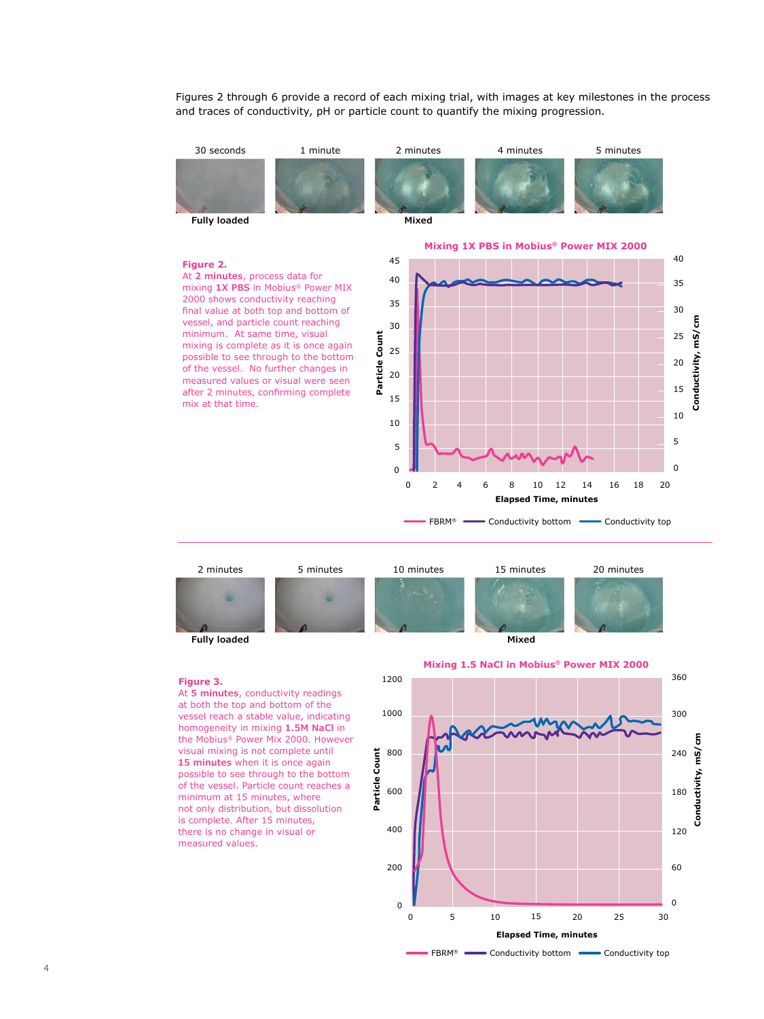Figures 2 through 6 provide a record of each mixing trial, with images at key milestones in the process and traces of conductivity, pH or particle count to quantify the mixing progression.





#### **Figure 3.**

At **5 minutes**, conductivity readings at both the top and bottom of the vessel reach a stable value, indicating homogeneity in mixing **1.5M NaCl** in the Mobius® Power Mix 2000. However visual mixing is not complete until **15 minutes** when it is once again possible to see through to the bottom of the vessel. Particle count reaches a minimum at 15 minutes, where not only distribution, but dissolution is complete. After 15 minutes, there is no change in visual or measured values.



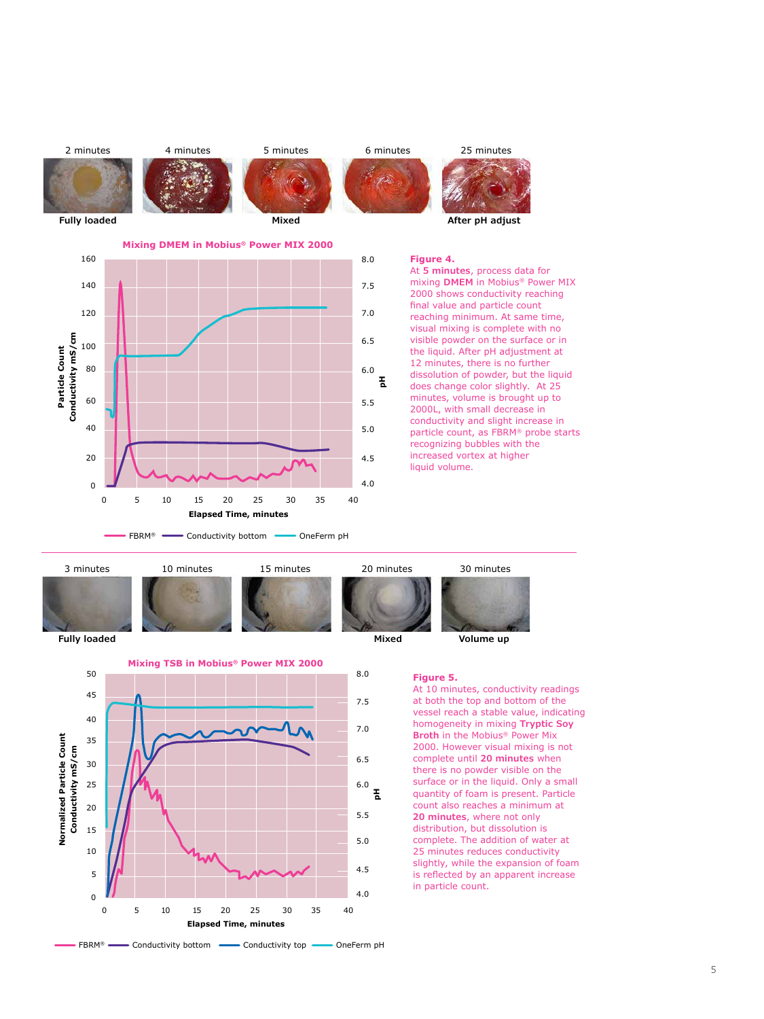

At **5 minutes**, process data for mixing **DMEM** in Mobius® Power MIX 2000 shows conductivity reaching final value and particle count reaching minimum. At same time, visual mixing is complete with no visible powder on the surface or in the liquid. After pH adjustment at 12 minutes, there is no further dissolution of powder, but the liquid does change color slightly. At 25 minutes, volume is brought up to 2000L, with small decrease in conductivity and slight increase in particle count, as FBRM® probe starts recognizing bubbles with the increased vortex at higher liquid volume.





#### **Figure 5.**

At 10 minutes, conductivity readings at both the top and bottom of the vessel reach a stable value, indicating homogeneity in mixing **Tryptic Soy Broth** in the Mobius® Power Mix 2000. However visual mixing is not complete until **20 minutes** when there is no powder visible on the surface or in the liquid. Only a small quantity of foam is present. Particle count also reaches a minimum at **20 minutes**, where not only distribution, but dissolution is complete. The addition of water at 25 minutes reduces conductivity slightly, while the expansion of foam is reflected by an apparent increase in particle count.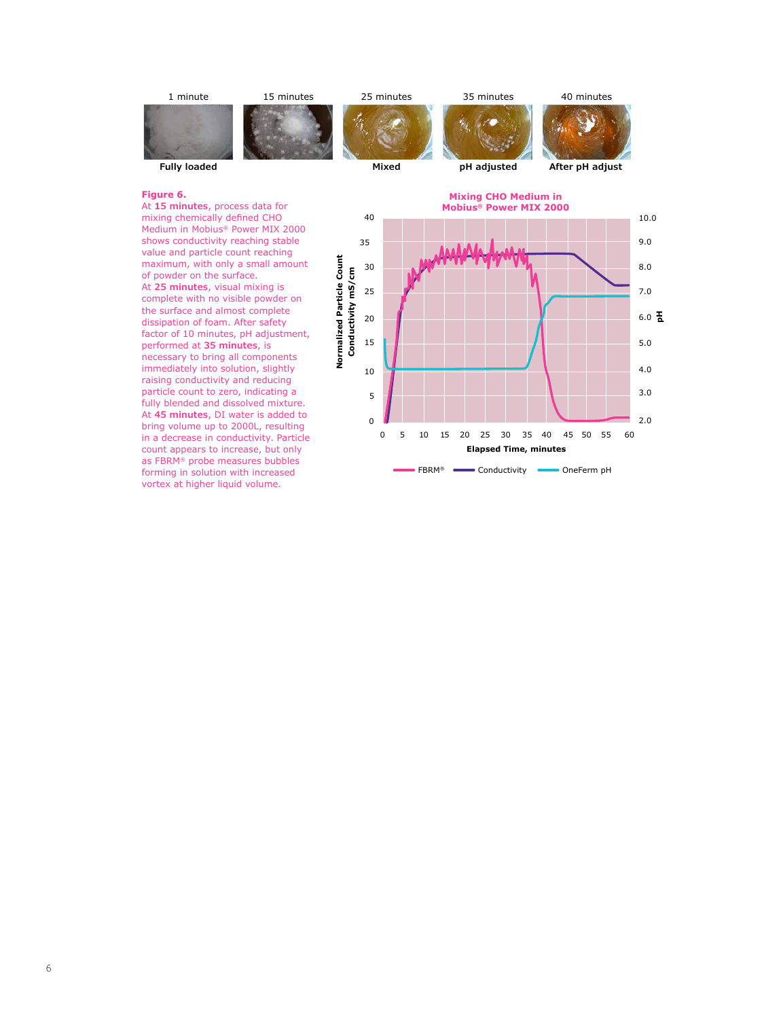

#### **Figure 6.**

At **15 minutes**, process data for mixing chemically defined CHO Medium in Mobius® Power MIX 2000 shows conductivity reaching stable value and particle count reaching maximum, with only a small amount of powder on the surface. At **25 minutes**, visual mixing is complete with no visible powder on the surface and almost complete dissipation of foam. After safety factor of 10 minutes, pH adjustment, performed at **35 minutes**, is necessary to bring all components immediately into solution, slightly raising conductivity and reducing particle count to zero, indicating a fully blended and dissolved mixture. At **45 minutes**, DI water is added to bring volume up to 2000L, resulting in a decrease in conductivity. Particle count appears to increase, but only as FBRM® probe measures bubbles forming in solution with increased vortex at higher liquid volume.

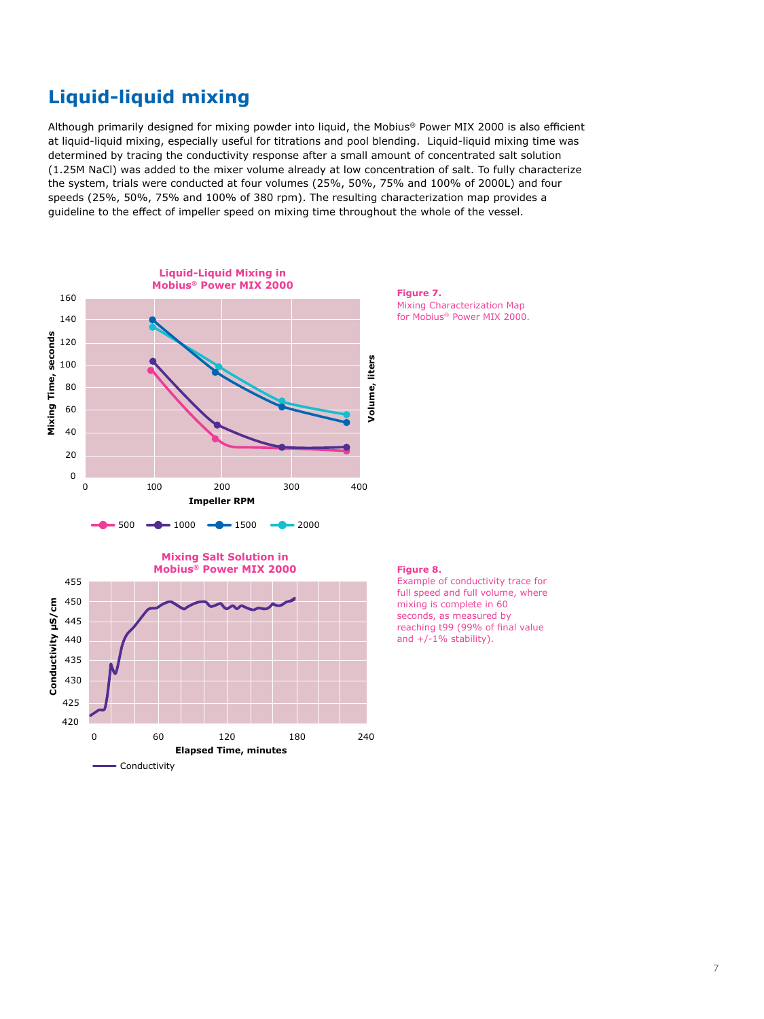# **Liquid-liquid mixing**

Although primarily designed for mixing powder into liquid, the Mobius® Power MIX 2000 is also efficient at liquid-liquid mixing, especially useful for titrations and pool blending. Liquid-liquid mixing time was determined by tracing the conductivity response after a small amount of concentrated salt solution (1.25M NaCl) was added to the mixer volume already at low concentration of salt. To fully characterize the system, trials were conducted at four volumes (25%, 50%, 75% and 100% of 2000L) and four speeds (25%, 50%, 75% and 100% of 380 rpm). The resulting characterization map provides a guideline to the effect of impeller speed on mixing time throughout the whole of the vessel.



**Figure 7.** Mixing Characterization Map for Mobius® Power MIX 2000.



#### **Figure 8.**

Example of conductivity trace for full speed and full volume, where mixing is complete in 60 seconds, as measured by reaching t99 (99% of final value and  $+/-1\%$  stability).